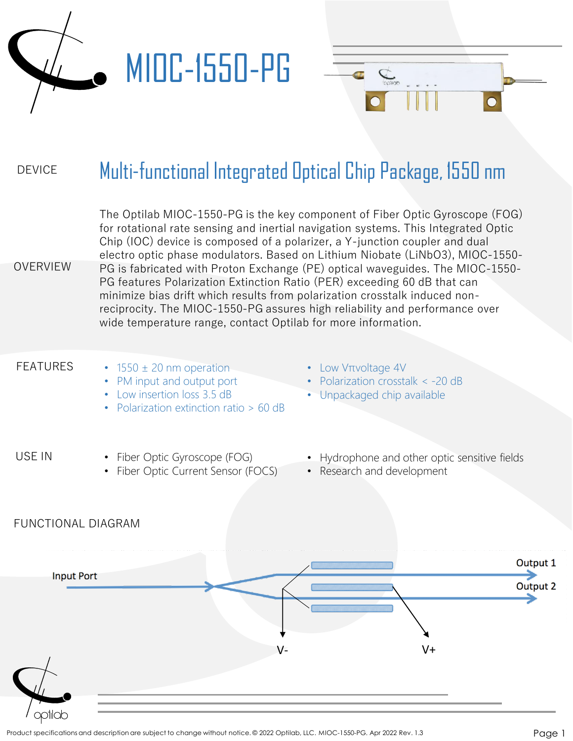

#### DEVICE Multi-functional Integrated Optical Chip Package, 1550 nm

The Optilab MIOC-1550-PG is the key component of Fiber Optic Gyroscope (FOG) for rotational rate sensing and inertial navigation systems. This Integrated Optic Chip (IOC) device is composed of a polarizer, a Y-junction coupler and dual electro optic phase modulators. Based on Lithium Niobate (LiNbO3), MIOC-1550- PG is fabricated with Proton Exchange (PE) optical waveguides. The MIOC-1550- PG features Polarization Extinction Ratio (PER) exceeding 60 dB that can minimize bias drift which results from polarization crosstalk induced nonreciprocity. The MIOC-1550-PG assures high reliability and performance over wide temperature range, contact Optilab for more information.

### FEATURES

OVERVIEW

- $\cdot$  1550  $\pm$  20 nm operation
- PM input and output port
- Low insertion loss 3.5 dB
- Polarization extinction ratio > 60 dB
- Low Vπvoltage 4V

 $\overline{C}$ 

- Polarization crosstalk < -20 dB
- Unpackaged chip available

#### USE IN

FUNCTIONAL DIAGRAM

- Fiber Optic Gyroscope (FOG)
- Fiber Optic Current Sensor (FOCS)
- Hydrophone and other optic sensitive fields
- Research and development

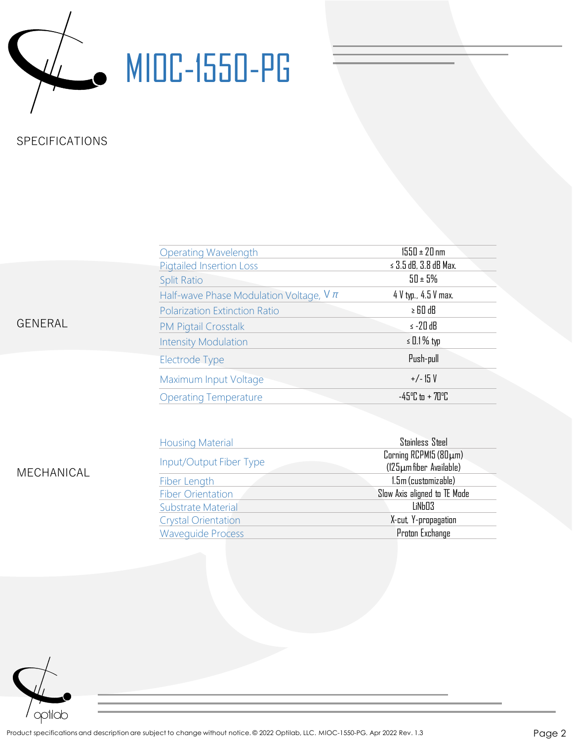

# **WIDC-1550-PG**

## SPECIFICATIONS

| <b>Operating Wavelength</b>                 |  | $1550 \pm 20$ nm                     |  |
|---------------------------------------------|--|--------------------------------------|--|
| <b>Pigtailed Insertion Loss</b>             |  | $\leq$ 3.5 dB, 3.8 dB Max.           |  |
| <b>Split Ratio</b>                          |  | $50 \pm 5\%$                         |  |
| Half-wave Phase Modulation Voltage, $V \pi$ |  | 4 V typ., 4.5 V max.                 |  |
| <b>Polarization Extinction Ratio</b>        |  | $\ge$ 60 dB                          |  |
| <b>PM Pigtail Crosstalk</b>                 |  | $\le$ -20 dB                         |  |
| <b>Intensity Modulation</b>                 |  | $\le$ 0.1% typ                       |  |
| Electrode Type                              |  | Push-pull                            |  |
| Maximum Input Voltage                       |  | $+/-15V$                             |  |
| <b>Operating Temperature</b>                |  | $-45^{\circ}$ C to + 70 $^{\circ}$ C |  |
|                                             |  |                                      |  |

GENERAL

MECHANICAL

| <b>Housing Material</b>    | Stainless Steel                                  |
|----------------------------|--------------------------------------------------|
| Input/Output Fiber Type    | Corning RCPM15 (80µm)<br>(125µm fiber Available) |
| Fiber Length               | 1.5m (customizable)                              |
| <b>Fiber Orientation</b>   | Slow Axis aligned to TE Mode                     |
| Substrate Material         | LiNb03                                           |
| <b>Crystal Orientation</b> | X-cut, Y-propagation                             |
| <b>Wavequide Process</b>   | Proton Exchange                                  |